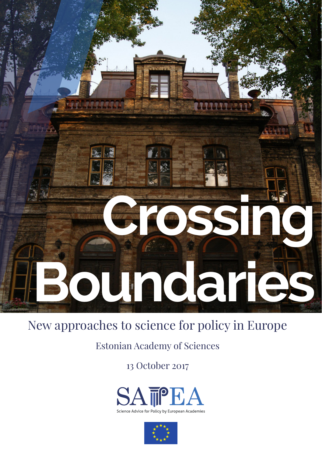## **Crossing Boundaries**

## New approaches to science for policy in Europe

Estonian Academy of Sciences

13 October 2017



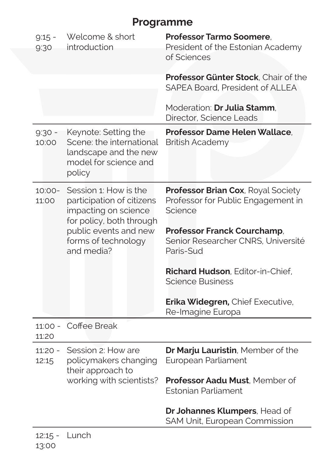## **Programme**

| $9:15 -$<br>9:30   | Welcome & short<br>introduction                                                                                                                                      | <b>Professor Tarmo Soomere,</b><br>President of the Estonian Academy<br>of Sciences        |
|--------------------|----------------------------------------------------------------------------------------------------------------------------------------------------------------------|--------------------------------------------------------------------------------------------|
|                    |                                                                                                                                                                      | Professor Günter Stock, Chair of the<br>SAPEA Board, President of ALLEA                    |
|                    |                                                                                                                                                                      | Moderation: Dr Julia Stamm,<br>Director, Science Leads                                     |
| $9:30 -$<br>10:00  | Keynote: Setting the<br>Scene: the international<br>landscape and the new<br>model for science and<br>policy                                                         | <b>Professor Dame Helen Wallace.</b><br><b>British Academy</b>                             |
| $10:00 -$<br>11:00 | Session 1: How is the<br>participation of citizens<br>impacting on science<br>for policy, both through<br>public events and new<br>forms of technology<br>and media? | <b>Professor Brian Cox, Royal Society</b><br>Professor for Public Engagement in<br>Science |
|                    |                                                                                                                                                                      | <b>Professor Franck Courchamp,</b><br>Senior Researcher CNRS, Université<br>Paris-Sud      |
|                    |                                                                                                                                                                      | <b>Richard Hudson, Editor-in-Chief,</b><br><b>Science Business</b>                         |
|                    |                                                                                                                                                                      | <b>Erika Widegren, Chief Executive,</b><br>Re-Imagine Europa                               |
| 11:20              | 11:00 - Coffee Break                                                                                                                                                 |                                                                                            |
| $11:20 -$<br>12:15 | Session 2: How are<br>policymakers changing<br>their approach to<br>working with scientists?                                                                         | Dr Marju Lauristin, Member of the<br>European Parliament                                   |
|                    |                                                                                                                                                                      | Professor Aadu Must, Member of<br><b>Estonian Parliament</b>                               |
|                    |                                                                                                                                                                      | Dr Johannes Klumpers, Head of<br>SAM Unit, European Commission                             |
| $12:15 -$          | Lunch                                                                                                                                                                |                                                                                            |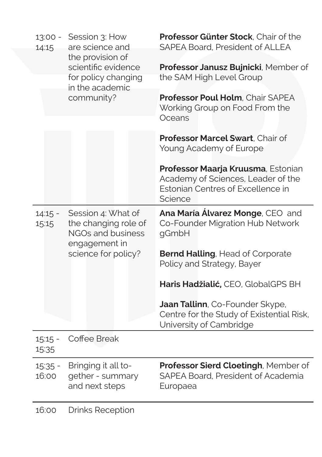| $13:00 -$<br>14:15 | Session 3: How<br>are science and<br>the provision of                            | Professor Günter Stock, Chair of the<br><b>SAPEA Board, President of ALLEA</b>                                           |
|--------------------|----------------------------------------------------------------------------------|--------------------------------------------------------------------------------------------------------------------------|
|                    | scientific evidence<br>for policy changing<br>in the academic                    | Professor Janusz Bujnicki, Member of<br>the SAM High Level Group                                                         |
|                    | community?                                                                       | Professor Poul Holm, Chair SAPEA<br>Working Group on Food From the<br>Oceans                                             |
|                    |                                                                                  | Professor Marcel Swart, Chair of<br>Young Academy of Europe                                                              |
|                    |                                                                                  | Professor Maarja Kruusma, Estonian<br>Academy of Sciences, Leader of the<br>Estonian Centres of Excellence in<br>Science |
| $14:15 -$<br>15:15 | Session 4: What of<br>the changing role of<br>NGOs and business<br>engagement in | Ana María Álvarez Monge, CEO and<br>Co-Founder Migration Hub Network<br>gGmbH                                            |
|                    | science for policy?                                                              | <b>Bernd Halling, Head of Corporate</b><br>Policy and Strategy, Bayer                                                    |
|                    |                                                                                  | Haris Hadžialić, CEO, GlobalGPS BH                                                                                       |
|                    |                                                                                  | Jaan Tallinn, Co-Founder Skype,<br>Centre for the Study of Existential Risk,<br>University of Cambridge                  |
| $15:15 -$<br>15:35 | Coffee Break                                                                     |                                                                                                                          |
| $15:35 -$<br>16:00 | Bringing it all to-<br>gether - summary<br>and next steps                        | Professor Sierd Cloetingh, Member of<br>SAPEA Board, President of Academia<br>Europaea                                   |
|                    |                                                                                  |                                                                                                                          |